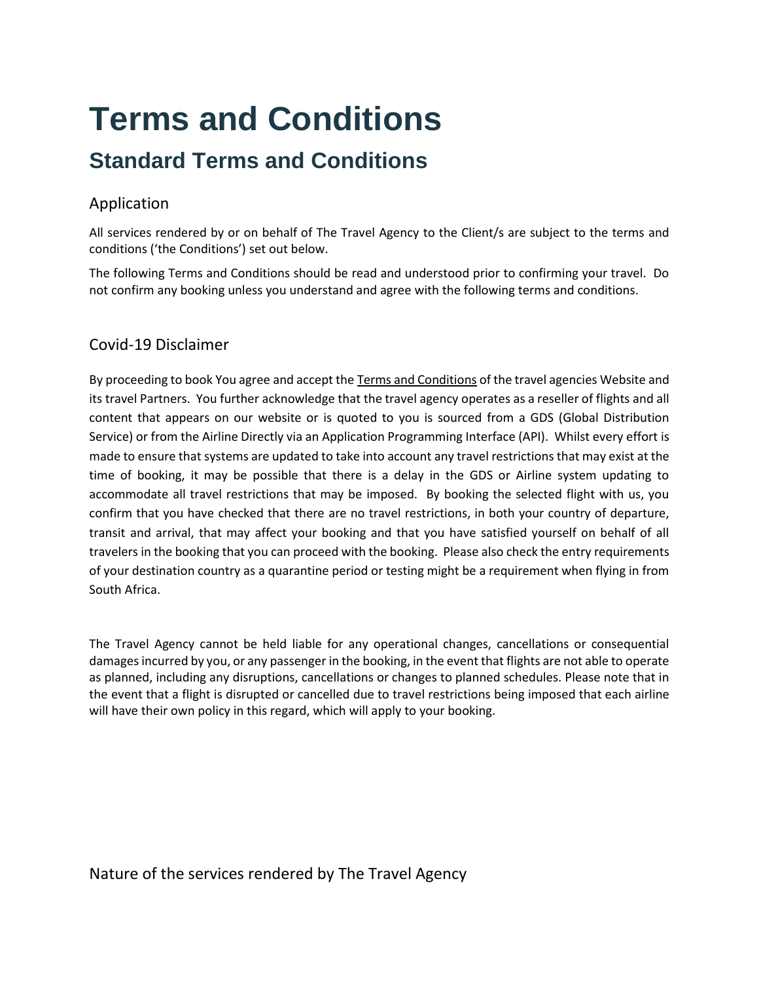# **Terms and Conditions**

# **Standard Terms and Conditions**

# Application

All services rendered by or on behalf of The Travel Agency to the Client/s are subject to the terms and conditions ('the Conditions') set out below.

The following Terms and Conditions should be read and understood prior to confirming your travel. Do not confirm any booking unless you understand and agree with the following terms and conditions.

# Covid-19 Disclaimer

By proceeding to book You agree and accept the Terms and Conditions of the travel agencies Website and its travel Partners. You further acknowledge that the travel agency operates as a reseller of flights and all content that appears on our website or is quoted to you is sourced from a GDS (Global Distribution Service) or from the Airline Directly via an Application Programming Interface (API). Whilst every effort is made to ensure that systems are updated to take into account any travel restrictions that may exist at the time of booking, it may be possible that there is a delay in the GDS or Airline system updating to accommodate all travel restrictions that may be imposed. By booking the selected flight with us, you confirm that you have checked that there are no travel restrictions, in both your country of departure, transit and arrival, that may affect your booking and that you have satisfied yourself on behalf of all travelers in the booking that you can proceed with the booking. Please also check the entry requirements of your destination country as a quarantine period or testing might be a requirement when flying in from South Africa.

The Travel Agency cannot be held liable for any operational changes, cancellations or consequential damages incurred by you, or any passenger in the booking, in the event that flights are not able to operate as planned, including any disruptions, cancellations or changes to planned schedules. Please note that in the event that a flight is disrupted or cancelled due to travel restrictions being imposed that each airline will have their own policy in this regard, which will apply to your booking.

# Nature of the services rendered by The Travel Agency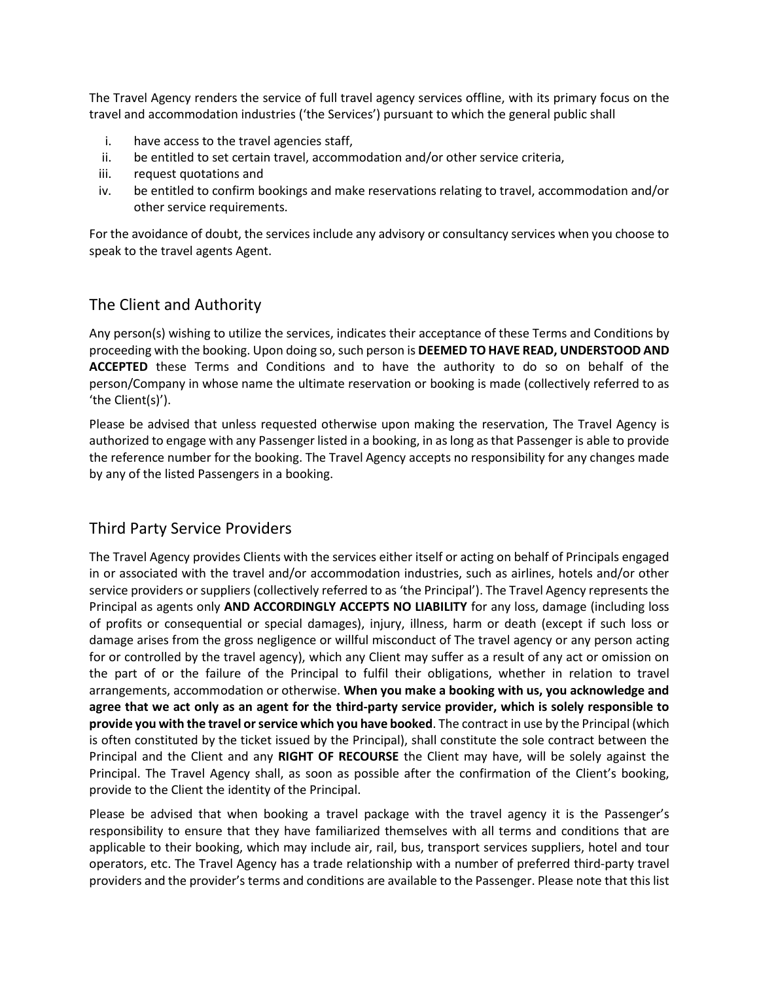The Travel Agency renders the service of full travel agency services offline, with its primary focus on the travel and accommodation industries ('the Services') pursuant to which the general public shall

- i. have access to the travel agencies staff,
- ii. be entitled to set certain travel, accommodation and/or other service criteria,
- iii. request quotations and
- iv. be entitled to confirm bookings and make reservations relating to travel, accommodation and/or other service requirements.

For the avoidance of doubt, the services include any advisory or consultancy services when you choose to speak to the travel agents Agent.

# The Client and Authority

Any person(s) wishing to utilize the services, indicates their acceptance of these Terms and Conditions by proceeding with the booking. Upon doing so, such person is **DEEMED TO HAVE READ, UNDERSTOOD AND ACCEPTED** these Terms and Conditions and to have the authority to do so on behalf of the person/Company in whose name the ultimate reservation or booking is made (collectively referred to as 'the Client(s)').

Please be advised that unless requested otherwise upon making the reservation, The Travel Agency is authorized to engage with any Passenger listed in a booking, in as long as that Passenger is able to provide the reference number for the booking. The Travel Agency accepts no responsibility for any changes made by any of the listed Passengers in a booking.

#### Third Party Service Providers

The Travel Agency provides Clients with the services either itself or acting on behalf of Principals engaged in or associated with the travel and/or accommodation industries, such as airlines, hotels and/or other service providers or suppliers (collectively referred to as 'the Principal'). The Travel Agency represents the Principal as agents only **AND ACCORDINGLY ACCEPTS NO LIABILITY** for any loss, damage (including loss of profits or consequential or special damages), injury, illness, harm or death (except if such loss or damage arises from the gross negligence or willful misconduct of The travel agency or any person acting for or controlled by the travel agency), which any Client may suffer as a result of any act or omission on the part of or the failure of the Principal to fulfil their obligations, whether in relation to travel arrangements, accommodation or otherwise. **When you make a booking with us, you acknowledge and agree that we act only as an agent for the third-party service provider, which is solely responsible to provide you with the travel or service which you have booked**. The contract in use by the Principal (which is often constituted by the ticket issued by the Principal), shall constitute the sole contract between the Principal and the Client and any **RIGHT OF RECOURSE** the Client may have, will be solely against the Principal. The Travel Agency shall, as soon as possible after the confirmation of the Client's booking, provide to the Client the identity of the Principal.

Please be advised that when booking a travel package with the travel agency it is the Passenger's responsibility to ensure that they have familiarized themselves with all terms and conditions that are applicable to their booking, which may include air, rail, bus, transport services suppliers, hotel and tour operators, etc. The Travel Agency has a trade relationship with a number of preferred third-party travel providers and the provider's terms and conditions are available to the Passenger. Please note that this list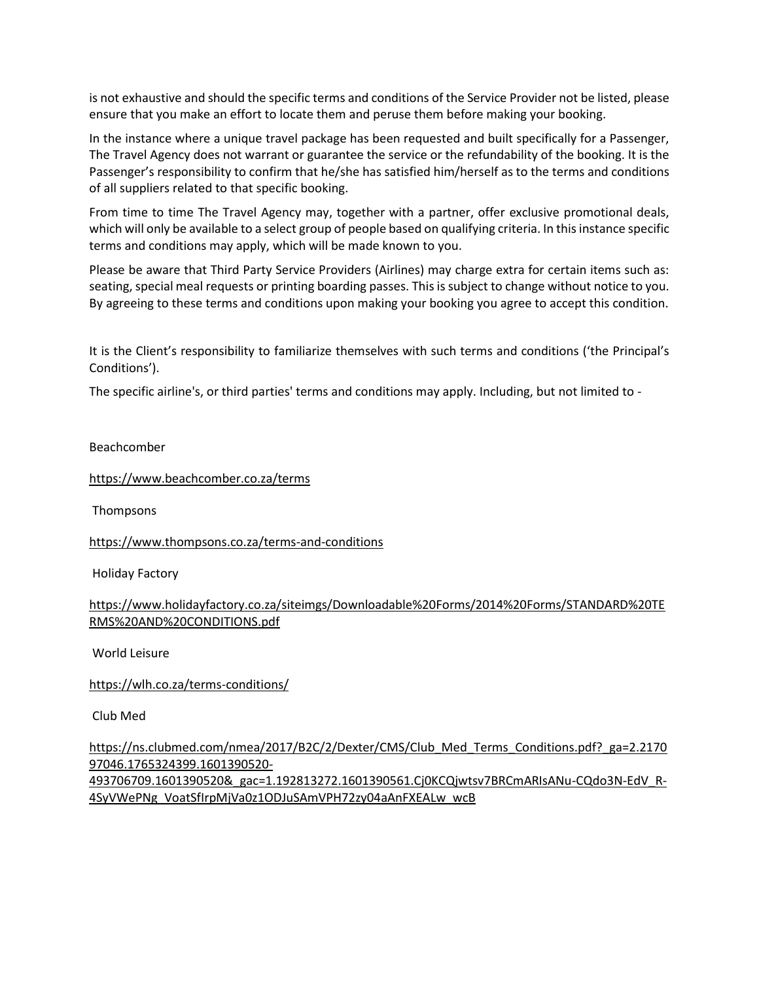is not exhaustive and should the specific terms and conditions of the Service Provider not be listed, please ensure that you make an effort to locate them and peruse them before making your booking.

In the instance where a unique travel package has been requested and built specifically for a Passenger, The Travel Agency does not warrant or guarantee the service or the refundability of the booking. It is the Passenger's responsibility to confirm that he/she has satisfied him/herself as to the terms and conditions of all suppliers related to that specific booking.

From time to time The Travel Agency may, together with a partner, offer exclusive promotional deals, which will only be available to a select group of people based on qualifying criteria. In this instance specific terms and conditions may apply, which will be made known to you.

Please be aware that Third Party Service Providers (Airlines) may charge extra for certain items such as: seating, special meal requests or printing boarding passes. This is subject to change without notice to you. By agreeing to these terms and conditions upon making your booking you agree to accept this condition.

It is the Client's responsibility to familiarize themselves with such terms and conditions ('the Principal's Conditions').

The specific airline's, or third parties' terms and conditions may apply. Including, but not limited to -

Beachcomber

<https://www.beachcomber.co.za/terms>

Thompsons

<https://www.thompsons.co.za/terms-and-conditions>

Holiday Factory

```
https://www.holidayfactory.co.za/siteimgs/Downloadable%20Forms/2014%20Forms/STANDARD%20TE
RMS%20AND%20CONDITIONS.pdf
```
World Leisure

<https://wlh.co.za/terms-conditions/>

Club Med

[https://ns.clubmed.com/nmea/2017/B2C/2/Dexter/CMS/Club\\_Med\\_Terms\\_Conditions.pdf?\\_ga=2.2170](https://ns.clubmed.com/nmea/2017/B2C/2/Dexter/CMS/Club_Med_Terms_Conditions.pdf?_ga=2.217097046.1765324399.1601390520-493706709.1601390520&_gac=1.192813272.1601390561.Cj0KCQjwtsv7BRCmARIsANu-CQdo3N-EdV_R-4SyVWePNg_VoatSfIrpMjVa0z1ODJuSAmVPH72zy04aAnFXEALw_wcB) [97046.1765324399.1601390520-](https://ns.clubmed.com/nmea/2017/B2C/2/Dexter/CMS/Club_Med_Terms_Conditions.pdf?_ga=2.217097046.1765324399.1601390520-493706709.1601390520&_gac=1.192813272.1601390561.Cj0KCQjwtsv7BRCmARIsANu-CQdo3N-EdV_R-4SyVWePNg_VoatSfIrpMjVa0z1ODJuSAmVPH72zy04aAnFXEALw_wcB) [493706709.1601390520&\\_gac=1.192813272.1601390561.Cj0KCQjwtsv7BRCmARIsANu-CQdo3N-EdV\\_R-](https://ns.clubmed.com/nmea/2017/B2C/2/Dexter/CMS/Club_Med_Terms_Conditions.pdf?_ga=2.217097046.1765324399.1601390520-493706709.1601390520&_gac=1.192813272.1601390561.Cj0KCQjwtsv7BRCmARIsANu-CQdo3N-EdV_R-4SyVWePNg_VoatSfIrpMjVa0z1ODJuSAmVPH72zy04aAnFXEALw_wcB)[4SyVWePNg\\_VoatSfIrpMjVa0z1ODJuSAmVPH72zy04aAnFXEALw\\_wcB](https://ns.clubmed.com/nmea/2017/B2C/2/Dexter/CMS/Club_Med_Terms_Conditions.pdf?_ga=2.217097046.1765324399.1601390520-493706709.1601390520&_gac=1.192813272.1601390561.Cj0KCQjwtsv7BRCmARIsANu-CQdo3N-EdV_R-4SyVWePNg_VoatSfIrpMjVa0z1ODJuSAmVPH72zy04aAnFXEALw_wcB)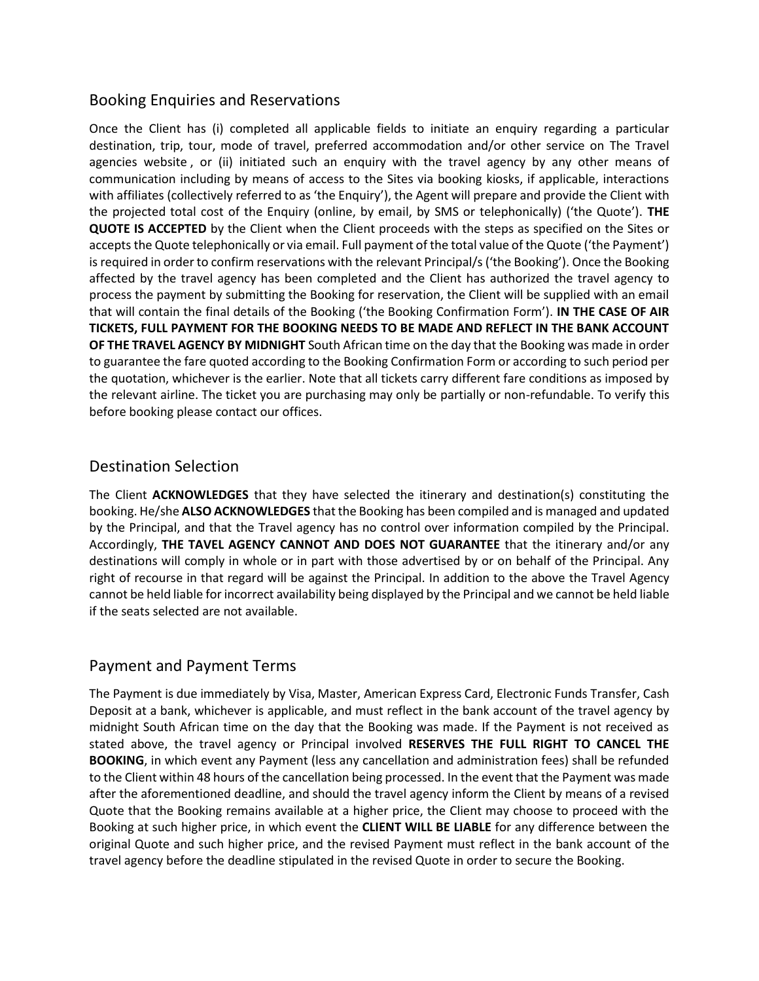#### Booking Enquiries and Reservations

Once the Client has (i) completed all applicable fields to initiate an enquiry regarding a particular destination, trip, tour, mode of travel, preferred accommodation and/or other service on The Travel agencies website, or (ii) initiated such an enquiry with the travel agency by any other means of communication including by means of access to the Sites via booking kiosks, if applicable, interactions with affiliates (collectively referred to as 'the Enquiry'), the Agent will prepare and provide the Client with the projected total cost of the Enquiry (online, by email, by SMS or telephonically) ('the Quote'). **THE QUOTE IS ACCEPTED** by the Client when the Client proceeds with the steps as specified on the Sites or accepts the Quote telephonically or via email. Full payment of the total value of the Quote ('the Payment') is required in order to confirm reservations with the relevant Principal/s ('the Booking'). Once the Booking affected by the travel agency has been completed and the Client has authorized the travel agency to process the payment by submitting the Booking for reservation, the Client will be supplied with an email that will contain the final details of the Booking ('the Booking Confirmation Form'). **IN THE CASE OF AIR TICKETS, FULL PAYMENT FOR THE BOOKING NEEDS TO BE MADE AND REFLECT IN THE BANK ACCOUNT OF THE TRAVEL AGENCY BY MIDNIGHT** South African time on the day that the Booking was made in order to guarantee the fare quoted according to the Booking Confirmation Form or according to such period per the quotation, whichever is the earlier. Note that all tickets carry different fare conditions as imposed by the relevant airline. The ticket you are purchasing may only be partially or non-refundable. To verify this before booking please contact our offices.

#### Destination Selection

The Client **ACKNOWLEDGES** that they have selected the itinerary and destination(s) constituting the booking. He/she **ALSO ACKNOWLEDGES** that the Booking has been compiled and is managed and updated by the Principal, and that the Travel agency has no control over information compiled by the Principal. Accordingly, **THE TAVEL AGENCY CANNOT AND DOES NOT GUARANTEE** that the itinerary and/or any destinations will comply in whole or in part with those advertised by or on behalf of the Principal. Any right of recourse in that regard will be against the Principal. In addition to the above the Travel Agency cannot be held liable for incorrect availability being displayed by the Principal and we cannot be held liable if the seats selected are not available.

# Payment and Payment Terms

The Payment is due immediately by Visa, Master, American Express Card, Electronic Funds Transfer, Cash Deposit at a bank, whichever is applicable, and must reflect in the bank account of the travel agency by midnight South African time on the day that the Booking was made. If the Payment is not received as stated above, the travel agency or Principal involved **RESERVES THE FULL RIGHT TO CANCEL THE BOOKING**, in which event any Payment (less any cancellation and administration fees) shall be refunded to the Client within 48 hours of the cancellation being processed. In the event that the Payment was made after the aforementioned deadline, and should the travel agency inform the Client by means of a revised Quote that the Booking remains available at a higher price, the Client may choose to proceed with the Booking at such higher price, in which event the **CLIENT WILL BE LIABLE** for any difference between the original Quote and such higher price, and the revised Payment must reflect in the bank account of the travel agency before the deadline stipulated in the revised Quote in order to secure the Booking.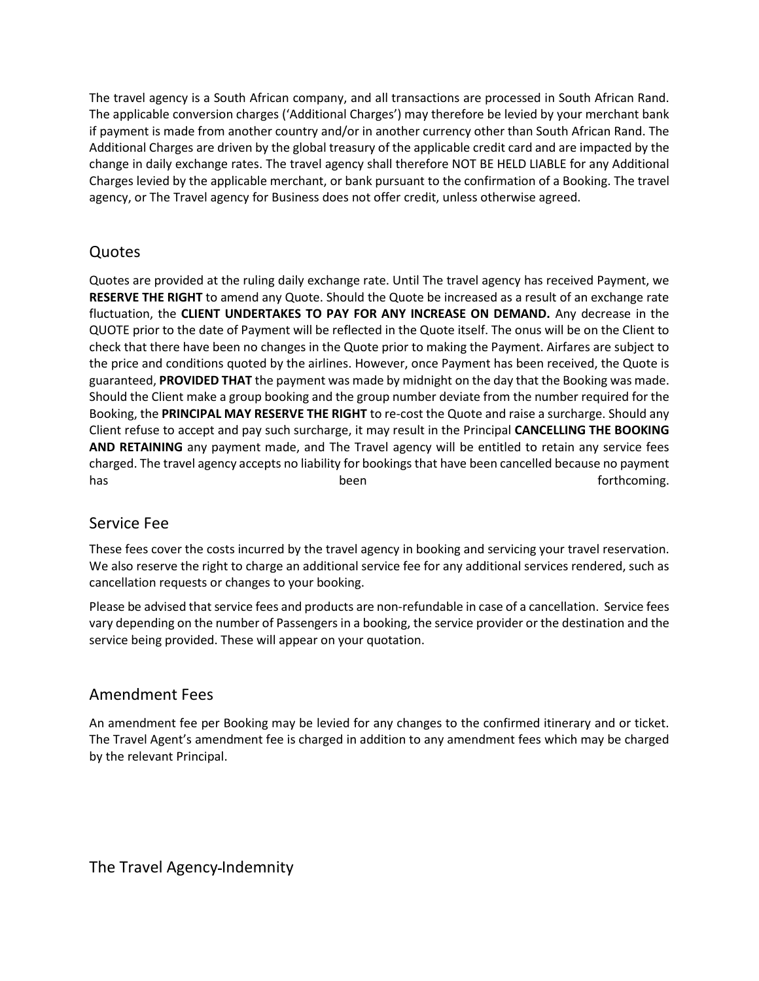The travel agency is a South African company, and all transactions are processed in South African Rand. The applicable conversion charges ('Additional Charges') may therefore be levied by your merchant bank if payment is made from another country and/or in another currency other than South African Rand. The Additional Charges are driven by the global treasury of the applicable credit card and are impacted by the change in daily exchange rates. The travel agency shall therefore NOT BE HELD LIABLE for any Additional Charges levied by the applicable merchant, or bank pursuant to the confirmation of a Booking. The travel agency, or The Travel agency for Business does not offer credit, unless otherwise agreed.

# Quotes

Quotes are provided at the ruling daily exchange rate. Until The travel agency has received Payment, we **RESERVE THE RIGHT** to amend any Quote. Should the Quote be increased as a result of an exchange rate fluctuation, the **CLIENT UNDERTAKES TO PAY FOR ANY INCREASE ON DEMAND.** Any decrease in the QUOTE prior to the date of Payment will be reflected in the Quote itself. The onus will be on the Client to check that there have been no changes in the Quote prior to making the Payment. Airfares are subject to the price and conditions quoted by the airlines. However, once Payment has been received, the Quote is guaranteed, **PROVIDED THAT** the payment was made by midnight on the day that the Booking was made. Should the Client make a group booking and the group number deviate from the number required for the Booking, the **PRINCIPAL MAY RESERVE THE RIGHT** to re-cost the Quote and raise a surcharge. Should any Client refuse to accept and pay such surcharge, it may result in the Principal **CANCELLING THE BOOKING AND RETAINING** any payment made, and The Travel agency will be entitled to retain any service fees charged. The travel agency accepts no liability for bookings that have been cancelled because no payment has been been forthcoming.

# Service Fee

These fees cover the costs incurred by the travel agency in booking and servicing your travel reservation. We also reserve the right to charge an additional service fee for any additional services rendered, such as cancellation requests or changes to your booking.

Please be advised that service fees and products are non-refundable in case of a cancellation. Service fees vary depending on the number of Passengers in a booking, the service provider or the destination and the service being provided. These will appear on your quotation.

# Amendment Fees

An amendment fee per Booking may be levied for any changes to the confirmed itinerary and or ticket. The Travel Agent's amendment fee is charged in addition to any amendment fees which may be charged by the relevant Principal.

The Travel Agency-Indemnity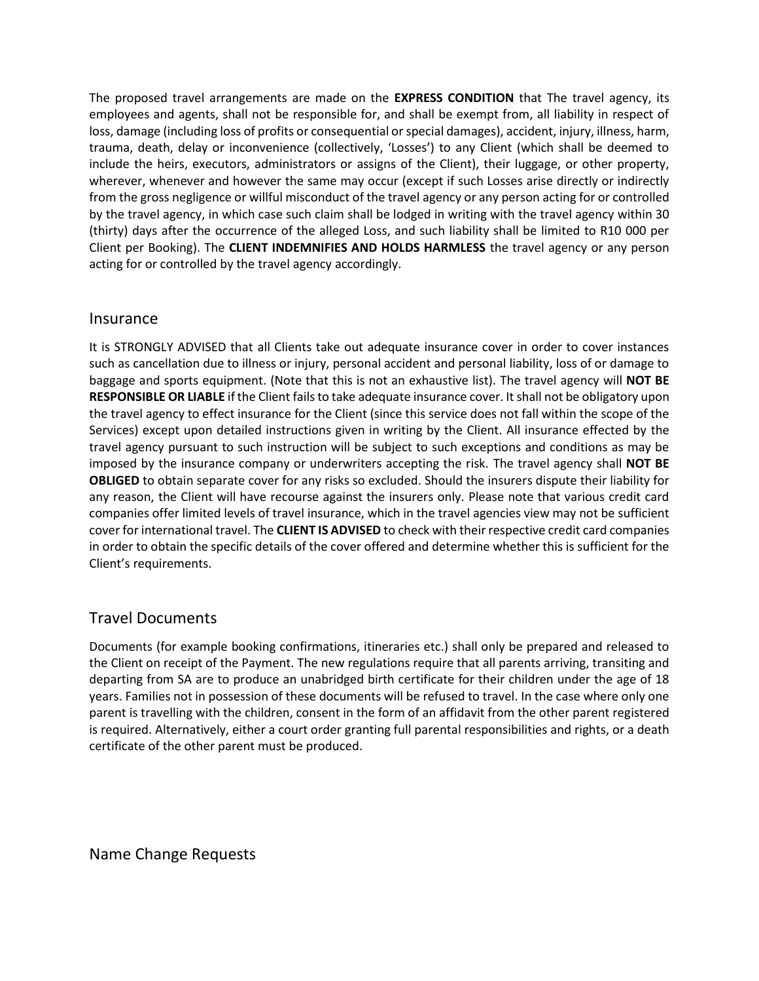The proposed travel arrangements are made on the **EXPRESS CONDITION** that The travel agency, its employees and agents, shall not be responsible for, and shall be exempt from, all liability in respect of loss, damage (including loss of profits or consequential or special damages), accident, injury, illness, harm, trauma, death, delay or inconvenience (collectively, 'Losses') to any Client (which shall be deemed to include the heirs, executors, administrators or assigns of the Client), their luggage, or other property, wherever, whenever and however the same may occur (except if such Losses arise directly or indirectly from the gross negligence or willful misconduct of the travel agency or any person acting for or controlled by the travel agency, in which case such claim shall be lodged in writing with the travel agency within 30 (thirty) days after the occurrence of the alleged Loss, and such liability shall be limited to R10 000 per Client per Booking). The **CLIENT INDEMNIFIES AND HOLDS HARMLESS** the travel agency or any person acting for or controlled by the travel agency accordingly.

#### Insurance

It is STRONGLY ADVISED that all Clients take out adequate insurance cover in order to cover instances such as cancellation due to illness or injury, personal accident and personal liability, loss of or damage to baggage and sports equipment. (Note that this is not an exhaustive list). The travel agency will **NOT BE RESPONSIBLE OR LIABLE** if the Client fails to take adequate insurance cover. It shall not be obligatory upon the travel agency to effect insurance for the Client (since this service does not fall within the scope of the Services) except upon detailed instructions given in writing by the Client. All insurance effected by the travel agency pursuant to such instruction will be subject to such exceptions and conditions as may be imposed by the insurance company or underwriters accepting the risk. The travel agency shall **NOT BE OBLIGED** to obtain separate cover for any risks so excluded. Should the insurers dispute their liability for any reason, the Client will have recourse against the insurers only. Please note that various credit card companies offer limited levels of travel insurance, which in the travel agencies view may not be sufficient cover for international travel. The **CLIENT IS ADVISED** to check with their respective credit card companies in order to obtain the specific details of the cover offered and determine whether this is sufficient for the Client's requirements.

# Travel Documents

Documents (for example booking confirmations, itineraries etc.) shall only be prepared and released to the Client on receipt of the Payment. The new regulations require that all parents arriving, transiting and departing from SA are to produce an unabridged birth certificate for their children under the age of 18 years. Families not in possession of these documents will be refused to travel. In the case where only one parent is travelling with the children, consent in the form of an affidavit from the other parent registered is required. Alternatively, either a court order granting full parental responsibilities and rights, or a death certificate of the other parent must be produced.

Name Change Requests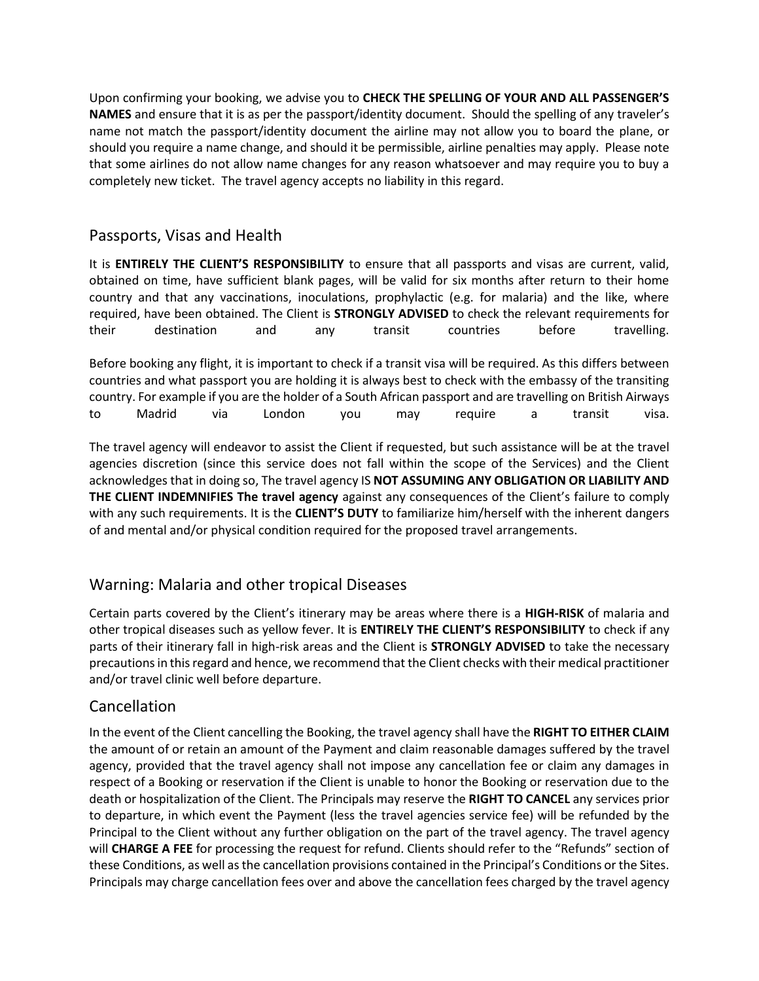Upon confirming your booking, we advise you to **CHECK THE SPELLING OF YOUR AND ALL PASSENGER'S NAMES** and ensure that it is as per the passport/identity document. Should the spelling of any traveler's name not match the passport/identity document the airline may not allow you to board the plane, or should you require a name change, and should it be permissible, airline penalties may apply. Please note that some airlines do not allow name changes for any reason whatsoever and may require you to buy a completely new ticket. The travel agency accepts no liability in this regard.

# Passports, Visas and Health

It is **ENTIRELY THE CLIENT'S RESPONSIBILITY** to ensure that all passports and visas are current, valid, obtained on time, have sufficient blank pages, will be valid for six months after return to their home country and that any vaccinations, inoculations, prophylactic (e.g. for malaria) and the like, where required, have been obtained. The Client is **STRONGLY ADVISED** to check the relevant requirements for their destination and any transit countries before travelling.

Before booking any flight, it is important to check if a transit visa will be required. As this differs between countries and what passport you are holding it is always best to check with the embassy of the transiting country. For example if you are the holder of a South African passport and are travelling on British Airways to Madrid via London you may require a transit visa.

The travel agency will endeavor to assist the Client if requested, but such assistance will be at the travel agencies discretion (since this service does not fall within the scope of the Services) and the Client acknowledges that in doing so, The travel agency IS **NOT ASSUMING ANY OBLIGATION OR LIABILITY AND THE CLIENT INDEMNIFIES The travel agency** against any consequences of the Client's failure to comply with any such requirements. It is the **CLIENT'S DUTY** to familiarize him/herself with the inherent dangers of and mental and/or physical condition required for the proposed travel arrangements.

# Warning: Malaria and other tropical Diseases

Certain parts covered by the Client's itinerary may be areas where there is a **HIGH-RISK** of malaria and other tropical diseases such as yellow fever. It is **ENTIRELY THE CLIENT'S RESPONSIBILITY** to check if any parts of their itinerary fall in high-risk areas and the Client is **STRONGLY ADVISED** to take the necessary precautions in this regard and hence, we recommend that the Client checks with their medical practitioner and/or travel clinic well before departure.

# Cancellation

In the event of the Client cancelling the Booking, the travel agency shall have the **RIGHT TO EITHER CLAIM**  the amount of or retain an amount of the Payment and claim reasonable damages suffered by the travel agency, provided that the travel agency shall not impose any cancellation fee or claim any damages in respect of a Booking or reservation if the Client is unable to honor the Booking or reservation due to the death or hospitalization of the Client. The Principals may reserve the **RIGHT TO CANCEL** any services prior to departure, in which event the Payment (less the travel agencies service fee) will be refunded by the Principal to the Client without any further obligation on the part of the travel agency. The travel agency will **CHARGE A FEE** for processing the request for refund. Clients should refer to the "Refunds" section of these Conditions, as well as the cancellation provisions contained in the Principal's Conditions or the Sites. Principals may charge cancellation fees over and above the cancellation fees charged by the travel agency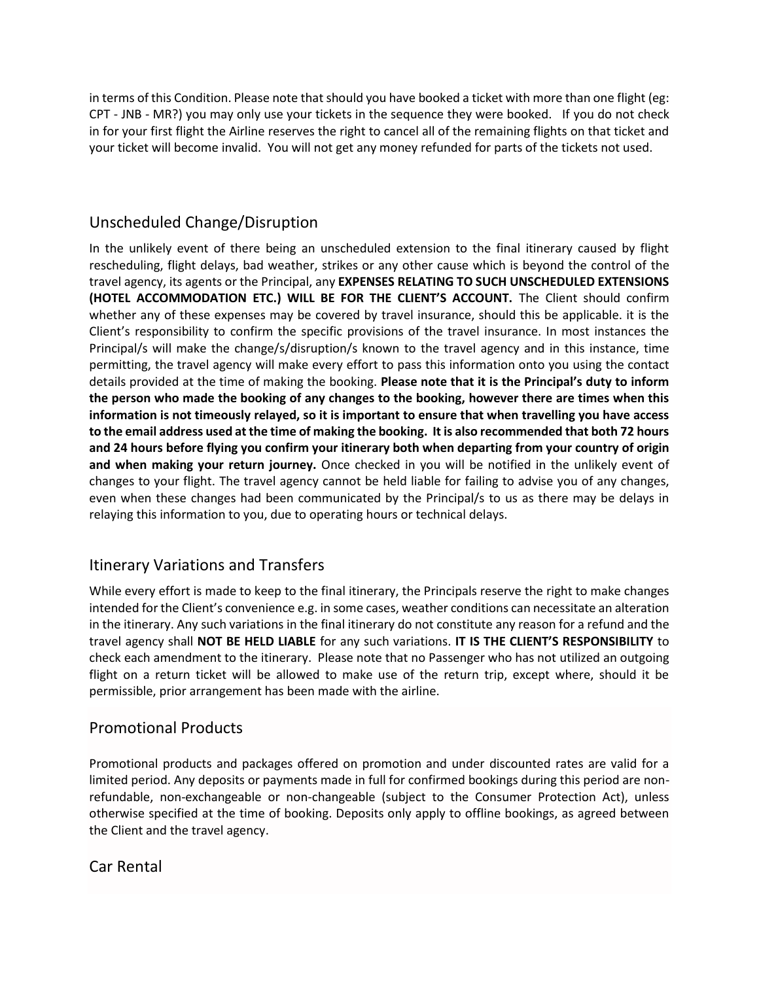in terms of this Condition. Please note that should you have booked a ticket with more than one flight (eg: CPT - JNB - MR?) you may only use your tickets in the sequence they were booked. If you do not check in for your first flight the Airline reserves the right to cancel all of the remaining flights on that ticket and your ticket will become invalid. You will not get any money refunded for parts of the tickets not used.

# Unscheduled Change/Disruption

In the unlikely event of there being an unscheduled extension to the final itinerary caused by flight rescheduling, flight delays, bad weather, strikes or any other cause which is beyond the control of the travel agency, its agents or the Principal, any **EXPENSES RELATING TO SUCH UNSCHEDULED EXTENSIONS (HOTEL ACCOMMODATION ETC.) WILL BE FOR THE CLIENT'S ACCOUNT.** The Client should confirm whether any of these expenses may be covered by travel insurance, should this be applicable. it is the Client's responsibility to confirm the specific provisions of the travel insurance. In most instances the Principal/s will make the change/s/disruption/s known to the travel agency and in this instance, time permitting, the travel agency will make every effort to pass this information onto you using the contact details provided at the time of making the booking. **Please note that it is the Principal's duty to inform the person who made the booking of any changes to the booking, however there are times when this information is not timeously relayed, so it is important to ensure that when travelling you have access to the email address used at the time of making the booking. It is also recommended that both 72 hours and 24 hours before flying you confirm your itinerary both when departing from your country of origin and when making your return journey.** Once checked in you will be notified in the unlikely event of changes to your flight. The travel agency cannot be held liable for failing to advise you of any changes, even when these changes had been communicated by the Principal/s to us as there may be delays in relaying this information to you, due to operating hours or technical delays.

# Itinerary Variations and Transfers

While every effort is made to keep to the final itinerary, the Principals reserve the right to make changes intended for the Client's convenience e.g. in some cases, weather conditions can necessitate an alteration in the itinerary. Any such variations in the final itinerary do not constitute any reason for a refund and the travel agency shall **NOT BE HELD LIABLE** for any such variations. **IT IS THE CLIENT'S RESPONSIBILITY** to check each amendment to the itinerary. Please note that no Passenger who has not utilized an outgoing flight on a return ticket will be allowed to make use of the return trip, except where, should it be permissible, prior arrangement has been made with the airline.

# Promotional Products

Promotional products and packages offered on promotion and under discounted rates are valid for a limited period. Any deposits or payments made in full for confirmed bookings during this period are nonrefundable, non-exchangeable or non-changeable (subject to the Consumer Protection Act), unless otherwise specified at the time of booking. Deposits only apply to offline bookings, as agreed between the Client and the travel agency.

Car Rental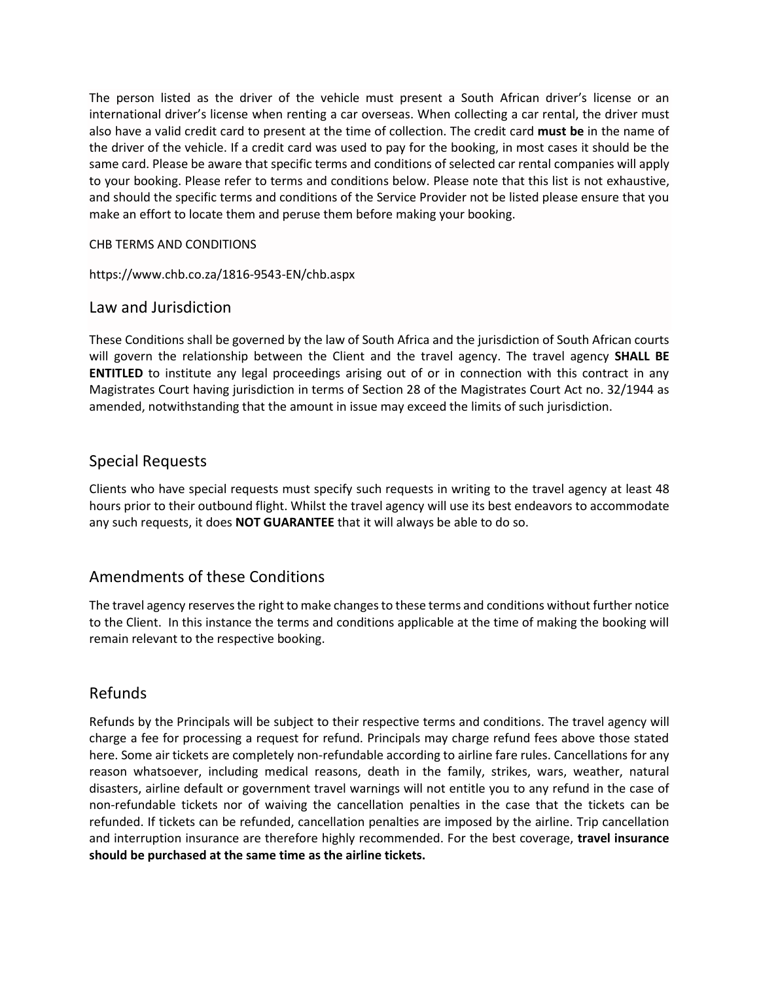The person listed as the driver of the vehicle must present a South African driver's license or an international driver's license when renting a car overseas. When collecting a car rental, the driver must also have a valid credit card to present at the time of collection. The credit card **must be** in the name of the driver of the vehicle. If a credit card was used to pay for the booking, in most cases it should be the same card. Please be aware that specific terms and conditions of selected car rental companies will apply to your booking. Please refer to terms and conditions below. Please note that this list is not exhaustive, and should the specific terms and conditions of the Service Provider not be listed please ensure that you make an effort to locate them and peruse them before making your booking.

#### CHB TERMS AND CONDITIONS

https://www.chb.co.za/1816-9543-EN/chb.aspx

#### Law and Jurisdiction

These Conditions shall be governed by the law of South Africa and the jurisdiction of South African courts will govern the relationship between the Client and the travel agency. The travel agency **SHALL BE ENTITLED** to institute any legal proceedings arising out of or in connection with this contract in any Magistrates Court having jurisdiction in terms of Section 28 of the Magistrates Court Act no. 32/1944 as amended, notwithstanding that the amount in issue may exceed the limits of such jurisdiction.

#### Special Requests

Clients who have special requests must specify such requests in writing to the travel agency at least 48 hours prior to their outbound flight. Whilst the travel agency will use its best endeavors to accommodate any such requests, it does **NOT GUARANTEE** that it will always be able to do so.

# Amendments of these Conditions

The travel agency reserves the right to make changes to these terms and conditions without further notice to the Client. In this instance the terms and conditions applicable at the time of making the booking will remain relevant to the respective booking.

# Refunds

Refunds by the Principals will be subject to their respective terms and conditions. The travel agency will charge a fee for processing a request for refund. Principals may charge refund fees above those stated here. Some air tickets are completely non-refundable according to airline fare rules. Cancellations for any reason whatsoever, including medical reasons, death in the family, strikes, wars, weather, natural disasters, airline default or government travel warnings will not entitle you to any refund in the case of non-refundable tickets nor of waiving the cancellation penalties in the case that the tickets can be refunded. If tickets can be refunded, cancellation penalties are imposed by the airline. Trip cancellation and interruption insurance are therefore highly recommended. For the best coverage, **travel insurance should be purchased at the same time as the airline tickets.**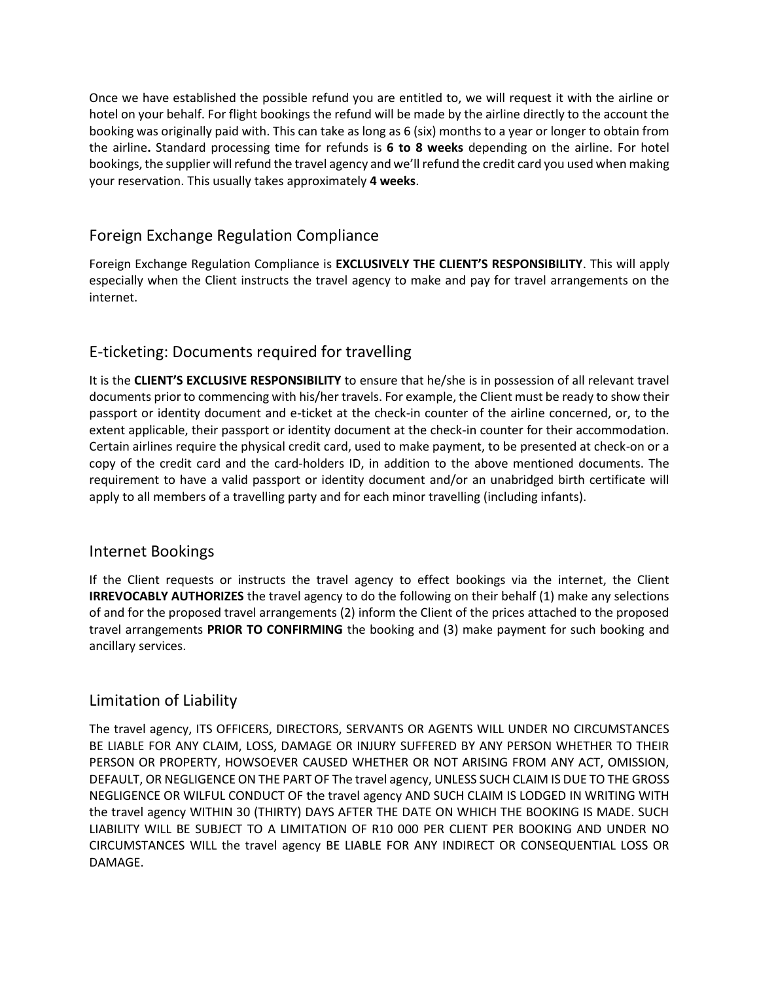Once we have established the possible refund you are entitled to, we will request it with the airline or hotel on your behalf. For flight bookings the refund will be made by the airline directly to the account the booking was originally paid with. This can take as long as 6 (six) months to a year or longer to obtain from the airline**.** Standard processing time for refunds is **6 to 8 weeks** depending on the airline. For hotel bookings, the supplier will refund the travel agency and we'll refund the credit card you used when making your reservation. This usually takes approximately **4 weeks**.

# Foreign Exchange Regulation Compliance

Foreign Exchange Regulation Compliance is **EXCLUSIVELY THE CLIENT'S RESPONSIBILITY**. This will apply especially when the Client instructs the travel agency to make and pay for travel arrangements on the internet.

# E-ticketing: Documents required for travelling

It is the **CLIENT'S EXCLUSIVE RESPONSIBILITY** to ensure that he/she is in possession of all relevant travel documents prior to commencing with his/her travels. For example, the Client must be ready to show their passport or identity document and e-ticket at the check-in counter of the airline concerned, or, to the extent applicable, their passport or identity document at the check-in counter for their accommodation. Certain airlines require the physical credit card, used to make payment, to be presented at check-on or a copy of the credit card and the card-holders ID, in addition to the above mentioned documents. The requirement to have a valid passport or identity document and/or an unabridged birth certificate will apply to all members of a travelling party and for each minor travelling (including infants).

# Internet Bookings

If the Client requests or instructs the travel agency to effect bookings via the internet, the Client **IRREVOCABLY AUTHORIZES** the travel agency to do the following on their behalf (1) make any selections of and for the proposed travel arrangements (2) inform the Client of the prices attached to the proposed travel arrangements **PRIOR TO CONFIRMING** the booking and (3) make payment for such booking and ancillary services.

# Limitation of Liability

The travel agency, ITS OFFICERS, DIRECTORS, SERVANTS OR AGENTS WILL UNDER NO CIRCUMSTANCES BE LIABLE FOR ANY CLAIM, LOSS, DAMAGE OR INJURY SUFFERED BY ANY PERSON WHETHER TO THEIR PERSON OR PROPERTY, HOWSOEVER CAUSED WHETHER OR NOT ARISING FROM ANY ACT, OMISSION, DEFAULT, OR NEGLIGENCE ON THE PART OF The travel agency, UNLESS SUCH CLAIM IS DUE TO THE GROSS NEGLIGENCE OR WILFUL CONDUCT OF the travel agency AND SUCH CLAIM IS LODGED IN WRITING WITH the travel agency WITHIN 30 (THIRTY) DAYS AFTER THE DATE ON WHICH THE BOOKING IS MADE. SUCH LIABILITY WILL BE SUBJECT TO A LIMITATION OF R10 000 PER CLIENT PER BOOKING AND UNDER NO CIRCUMSTANCES WILL the travel agency BE LIABLE FOR ANY INDIRECT OR CONSEQUENTIAL LOSS OR DAMAGE.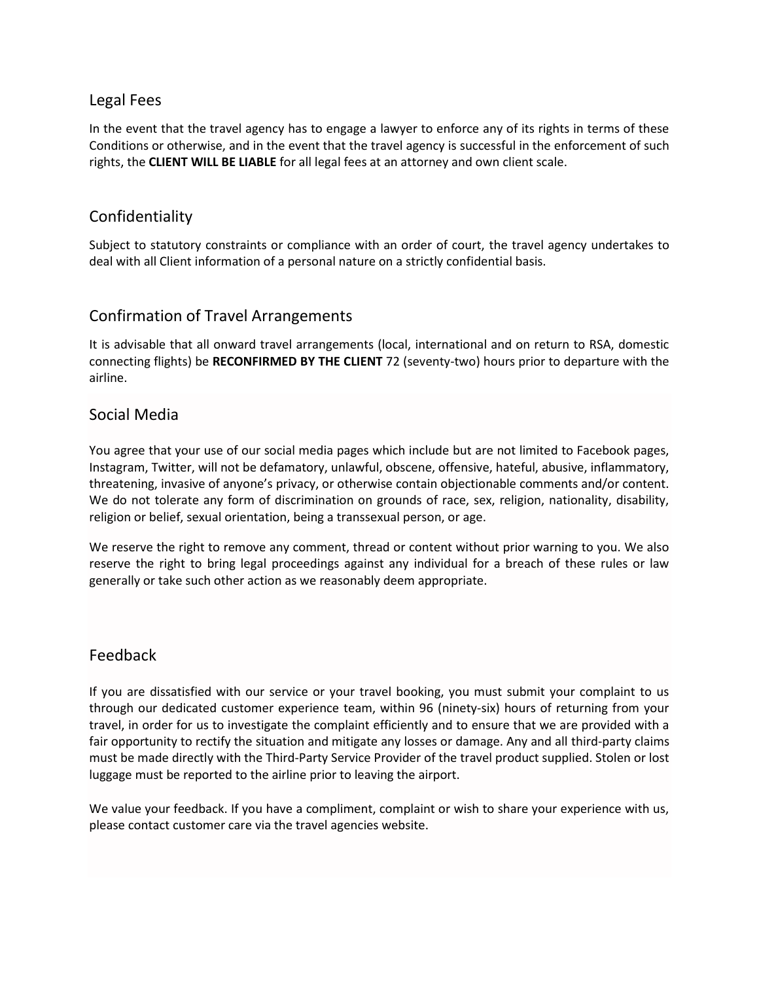#### Legal Fees

In the event that the travel agency has to engage a lawyer to enforce any of its rights in terms of these Conditions or otherwise, and in the event that the travel agency is successful in the enforcement of such rights, the **CLIENT WILL BE LIABLE** for all legal fees at an attorney and own client scale.

#### Confidentiality

Subject to statutory constraints or compliance with an order of court, the travel agency undertakes to deal with all Client information of a personal nature on a strictly confidential basis.

#### Confirmation of Travel Arrangements

It is advisable that all onward travel arrangements (local, international and on return to RSA, domestic connecting flights) be **RECONFIRMED BY THE CLIENT** 72 (seventy-two) hours prior to departure with the airline.

#### Social Media

You agree that your use of our social media pages which include but are not limited to Facebook pages, Instagram, Twitter, will not be defamatory, unlawful, obscene, offensive, hateful, abusive, inflammatory, threatening, invasive of anyone's privacy, or otherwise contain objectionable comments and/or content. We do not tolerate any form of discrimination on grounds of race, sex, religion, nationality, disability, religion or belief, sexual orientation, being a transsexual person, or age.

We reserve the right to remove any comment, thread or content without prior warning to you. We also reserve the right to bring legal proceedings against any individual for a breach of these rules or law generally or take such other action as we reasonably deem appropriate.

#### Feedback

If you are dissatisfied with our service or your travel booking, you must submit your complaint to us through our dedicated customer experience team, within 96 (ninety-six) hours of returning from your travel, in order for us to investigate the complaint efficiently and to ensure that we are provided with a fair opportunity to rectify the situation and mitigate any losses or damage. Any and all third-party claims must be made directly with the Third-Party Service Provider of the travel product supplied. Stolen or lost luggage must be reported to the airline prior to leaving the airport.

We value your feedback. If you have a compliment, complaint or wish to share your experience with us, please contact customer care via the travel agencies website.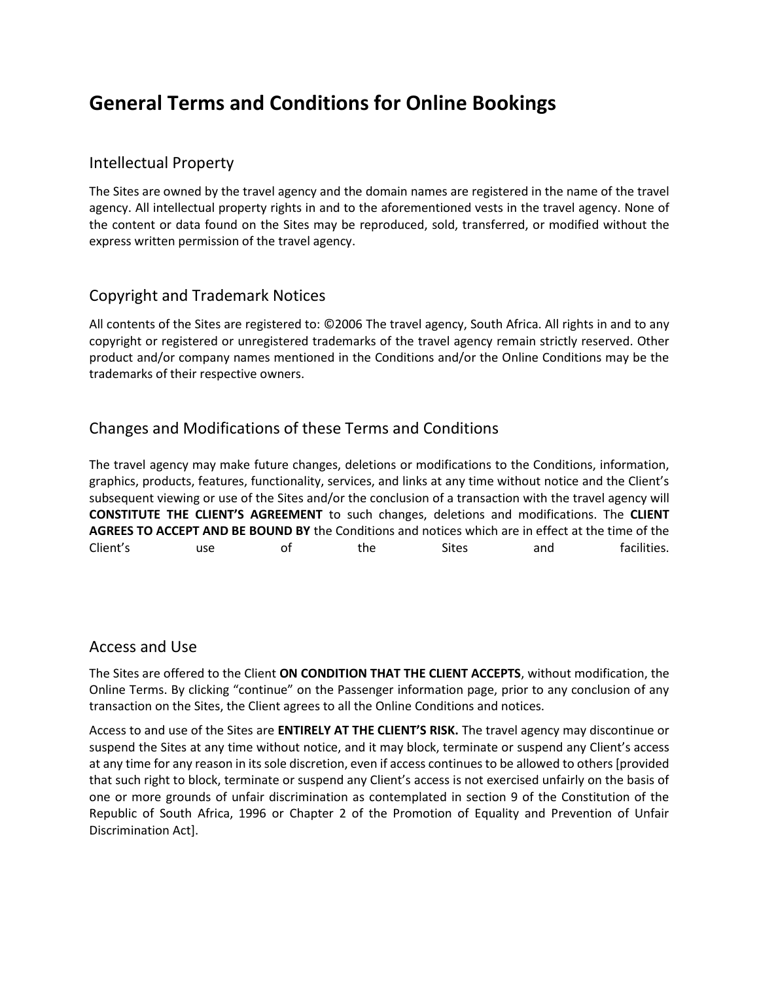# **General Terms and Conditions for Online Bookings**

#### Intellectual Property

The Sites are owned by the travel agency and the domain names are registered in the name of the travel agency. All intellectual property rights in and to the aforementioned vests in the travel agency. None of the content or data found on the Sites may be reproduced, sold, transferred, or modified without the express written permission of the travel agency.

# Copyright and Trademark Notices

All contents of the Sites are registered to: ©2006 The travel agency, South Africa. All rights in and to any copyright or registered or unregistered trademarks of the travel agency remain strictly reserved. Other product and/or company names mentioned in the Conditions and/or the Online Conditions may be the trademarks of their respective owners.

# Changes and Modifications of these Terms and Conditions

The travel agency may make future changes, deletions or modifications to the Conditions, information, graphics, products, features, functionality, services, and links at any time without notice and the Client's subsequent viewing or use of the Sites and/or the conclusion of a transaction with the travel agency will **CONSTITUTE THE CLIENT'S AGREEMENT** to such changes, deletions and modifications. The **CLIENT AGREES TO ACCEPT AND BE BOUND BY** the Conditions and notices which are in effect at the time of the Client's use of the Sites and facilities.

#### Access and Use

The Sites are offered to the Client **ON CONDITION THAT THE CLIENT ACCEPTS**, without modification, the Online Terms. By clicking "continue" on the Passenger information page, prior to any conclusion of any transaction on the Sites, the Client agrees to all the Online Conditions and notices.

Access to and use of the Sites are **ENTIRELY AT THE CLIENT'S RISK.** The travel agency may discontinue or suspend the Sites at any time without notice, and it may block, terminate or suspend any Client's access at any time for any reason in its sole discretion, even if access continues to be allowed to others [provided that such right to block, terminate or suspend any Client's access is not exercised unfairly on the basis of one or more grounds of unfair discrimination as contemplated in section 9 of the Constitution of the Republic of South Africa, 1996 or Chapter 2 of the Promotion of Equality and Prevention of Unfair Discrimination Act].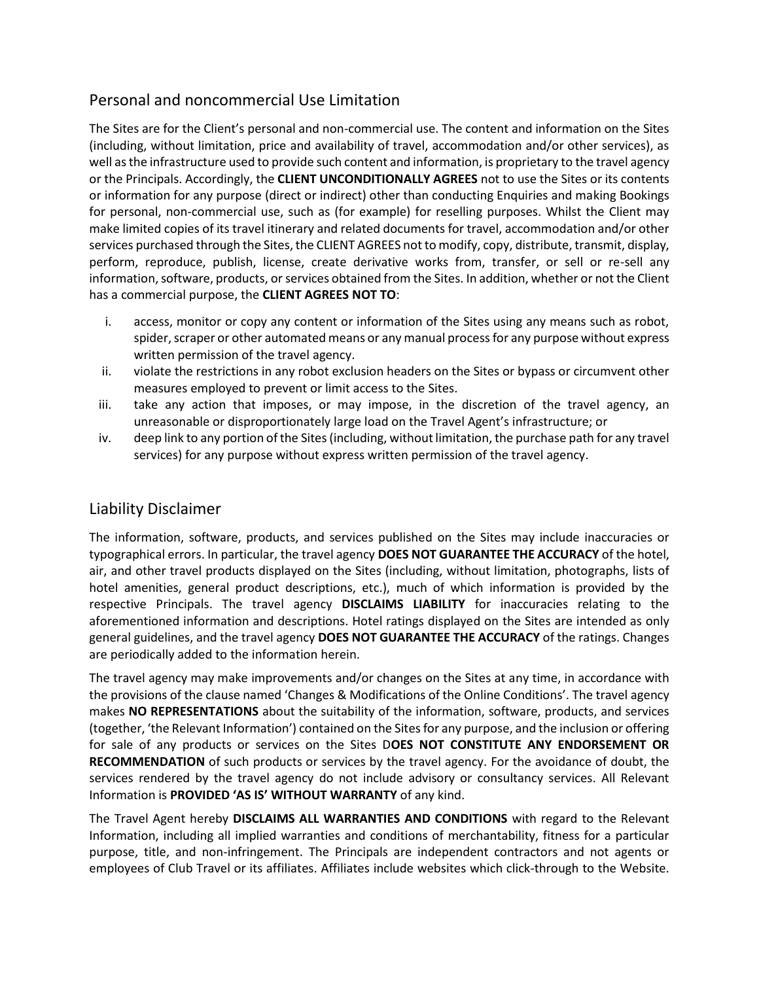# Personal and noncommercial Use Limitation

The Sites are for the Client's personal and non-commercial use. The content and information on the Sites (including, without limitation, price and availability of travel, accommodation and/or other services), as well as the infrastructure used to provide such content and information, is proprietary to the travel agency or the Principals. Accordingly, the **CLIENT UNCONDITIONALLY AGREES** not to use the Sites or its contents or information for any purpose (direct or indirect) other than conducting Enquiries and making Bookings for personal, non-commercial use, such as (for example) for reselling purposes. Whilst the Client may make limited copies of its travel itinerary and related documents for travel, accommodation and/or other services purchased through the Sites, the CLIENT AGREES not to modify, copy, distribute, transmit, display, perform, reproduce, publish, license, create derivative works from, transfer, or sell or re-sell any information, software, products, or services obtained from the Sites. In addition, whether or not the Client has a commercial purpose, the **CLIENT AGREES NOT TO**:

- i. access, monitor or copy any content or information of the Sites using any means such as robot, spider, scraper or other automated means or any manual process for any purpose without express written permission of the travel agency.
- ii. violate the restrictions in any robot exclusion headers on the Sites or bypass or circumvent other measures employed to prevent or limit access to the Sites.
- iii. take any action that imposes, or may impose, in the discretion of the travel agency, an unreasonable or disproportionately large load on the Travel Agent's infrastructure; or
- iv. deep link to any portion of the Sites (including, without limitation, the purchase path for any travel services) for any purpose without express written permission of the travel agency.

# Liability Disclaimer

The information, software, products, and services published on the Sites may include inaccuracies or typographical errors. In particular, the travel agency **DOES NOT GUARANTEE THE ACCURACY** of the hotel, air, and other travel products displayed on the Sites (including, without limitation, photographs, lists of hotel amenities, general product descriptions, etc.), much of which information is provided by the respective Principals. The travel agency **DISCLAIMS LIABILITY** for inaccuracies relating to the aforementioned information and descriptions. Hotel ratings displayed on the Sites are intended as only general guidelines, and the travel agency **DOES NOT GUARANTEE THE ACCURACY** of the ratings. Changes are periodically added to the information herein.

The travel agency may make improvements and/or changes on the Sites at any time, in accordance with the provisions of the clause named 'Changes & Modifications of the Online Conditions'. The travel agency makes **NO REPRESENTATIONS** about the suitability of the information, software, products, and services (together, 'the Relevant Information') contained on the Sites for any purpose, and the inclusion or offering for sale of any products or services on the Sites D**OES NOT CONSTITUTE ANY ENDORSEMENT OR RECOMMENDATION** of such products or services by the travel agency. For the avoidance of doubt, the services rendered by the travel agency do not include advisory or consultancy services. All Relevant Information is **PROVIDED 'AS IS' WITHOUT WARRANTY** of any kind.

The Travel Agent hereby **DISCLAIMS ALL WARRANTIES AND CONDITIONS** with regard to the Relevant Information, including all implied warranties and conditions of merchantability, fitness for a particular purpose, title, and non-infringement. The Principals are independent contractors and not agents or employees of Club Travel or its affiliates. Affiliates include websites which click-through to the Website.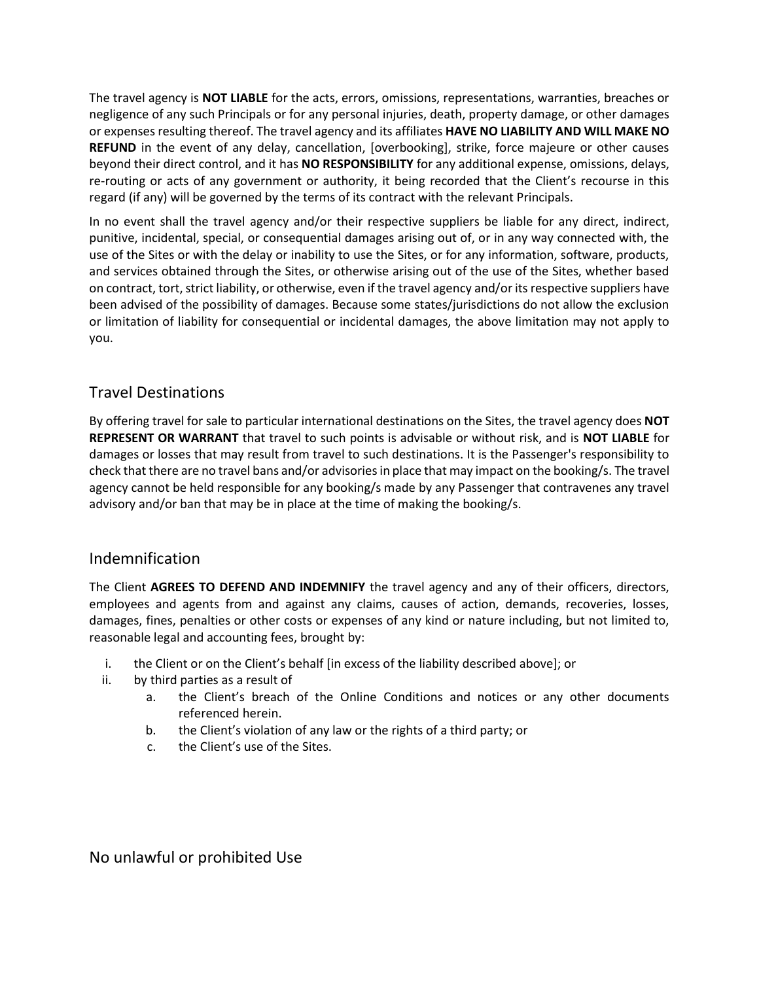The travel agency is **NOT LIABLE** for the acts, errors, omissions, representations, warranties, breaches or negligence of any such Principals or for any personal injuries, death, property damage, or other damages or expenses resulting thereof. The travel agency and its affiliates **HAVE NO LIABILITY AND WILL MAKE NO REFUND** in the event of any delay, cancellation, [overbooking], strike, force majeure or other causes beyond their direct control, and it has **NO RESPONSIBILITY** for any additional expense, omissions, delays, re-routing or acts of any government or authority, it being recorded that the Client's recourse in this regard (if any) will be governed by the terms of its contract with the relevant Principals.

In no event shall the travel agency and/or their respective suppliers be liable for any direct, indirect, punitive, incidental, special, or consequential damages arising out of, or in any way connected with, the use of the Sites or with the delay or inability to use the Sites, or for any information, software, products, and services obtained through the Sites, or otherwise arising out of the use of the Sites, whether based on contract, tort, strict liability, or otherwise, even if the travel agency and/or its respective suppliers have been advised of the possibility of damages. Because some states/jurisdictions do not allow the exclusion or limitation of liability for consequential or incidental damages, the above limitation may not apply to you.

# Travel Destinations

By offering travel for sale to particular international destinations on the Sites, the travel agency does **NOT REPRESENT OR WARRANT** that travel to such points is advisable or without risk, and is **NOT LIABLE** for damages or losses that may result from travel to such destinations. It is the Passenger's responsibility to check that there are no travel bans and/or advisories in place that may impact on the booking/s. The travel agency cannot be held responsible for any booking/s made by any Passenger that contravenes any travel advisory and/or ban that may be in place at the time of making the booking/s.

# Indemnification

The Client **AGREES TO DEFEND AND INDEMNIFY** the travel agency and any of their officers, directors, employees and agents from and against any claims, causes of action, demands, recoveries, losses, damages, fines, penalties or other costs or expenses of any kind or nature including, but not limited to, reasonable legal and accounting fees, brought by:

- i. the Client or on the Client's behalf [in excess of the liability described above]; or
- ii. by third parties as a result of
	- a. the Client's breach of the Online Conditions and notices or any other documents referenced herein.
	- b. the Client's violation of any law or the rights of a third party; or
	- c. the Client's use of the Sites.

No unlawful or prohibited Use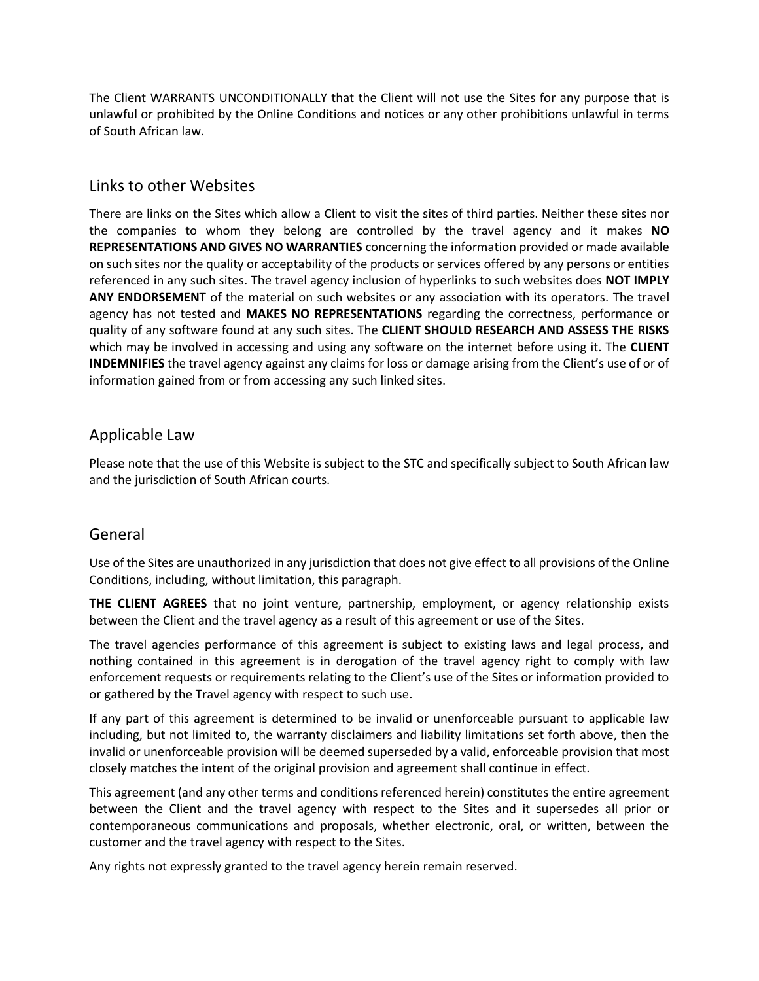The Client WARRANTS UNCONDITIONALLY that the Client will not use the Sites for any purpose that is unlawful or prohibited by the Online Conditions and notices or any other prohibitions unlawful in terms of South African law.

#### Links to other Websites

There are links on the Sites which allow a Client to visit the sites of third parties. Neither these sites nor the companies to whom they belong are controlled by the travel agency and it makes **NO REPRESENTATIONS AND GIVES NO WARRANTIES** concerning the information provided or made available on such sites nor the quality or acceptability of the products or services offered by any persons or entities referenced in any such sites. The travel agency inclusion of hyperlinks to such websites does **NOT IMPLY ANY ENDORSEMENT** of the material on such websites or any association with its operators. The travel agency has not tested and **MAKES NO REPRESENTATIONS** regarding the correctness, performance or quality of any software found at any such sites. The **CLIENT SHOULD RESEARCH AND ASSESS THE RISKS**  which may be involved in accessing and using any software on the internet before using it. The **CLIENT INDEMNIFIES** the travel agency against any claims for loss or damage arising from the Client's use of or of information gained from or from accessing any such linked sites.

# Applicable Law

Please note that the use of this Website is subject to the STC and specifically subject to South African law and the jurisdiction of South African courts.

#### General

Use of the Sites are unauthorized in any jurisdiction that does not give effect to all provisions of the Online Conditions, including, without limitation, this paragraph.

**THE CLIENT AGREES** that no joint venture, partnership, employment, or agency relationship exists between the Client and the travel agency as a result of this agreement or use of the Sites.

The travel agencies performance of this agreement is subject to existing laws and legal process, and nothing contained in this agreement is in derogation of the travel agency right to comply with law enforcement requests or requirements relating to the Client's use of the Sites or information provided to or gathered by the Travel agency with respect to such use.

If any part of this agreement is determined to be invalid or unenforceable pursuant to applicable law including, but not limited to, the warranty disclaimers and liability limitations set forth above, then the invalid or unenforceable provision will be deemed superseded by a valid, enforceable provision that most closely matches the intent of the original provision and agreement shall continue in effect.

This agreement (and any other terms and conditions referenced herein) constitutes the entire agreement between the Client and the travel agency with respect to the Sites and it supersedes all prior or contemporaneous communications and proposals, whether electronic, oral, or written, between the customer and the travel agency with respect to the Sites.

Any rights not expressly granted to the travel agency herein remain reserved.